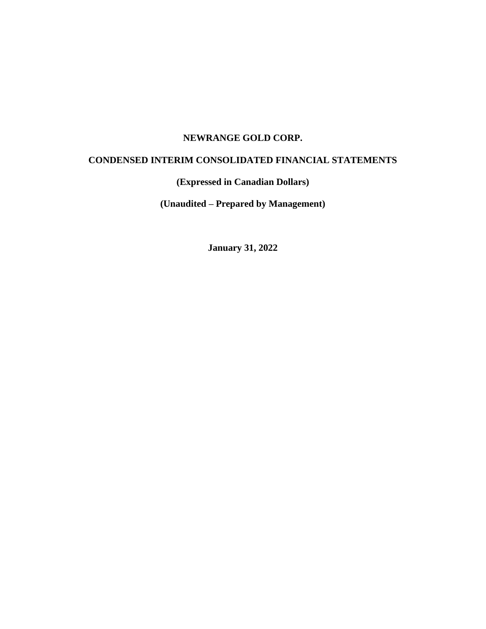# **NEWRANGE GOLD CORP.**

# **CONDENSED INTERIM CONSOLIDATED FINANCIAL STATEMENTS**

# **(Expressed in Canadian Dollars)**

**(Unaudited – Prepared by Management)**

**January 31, 2022**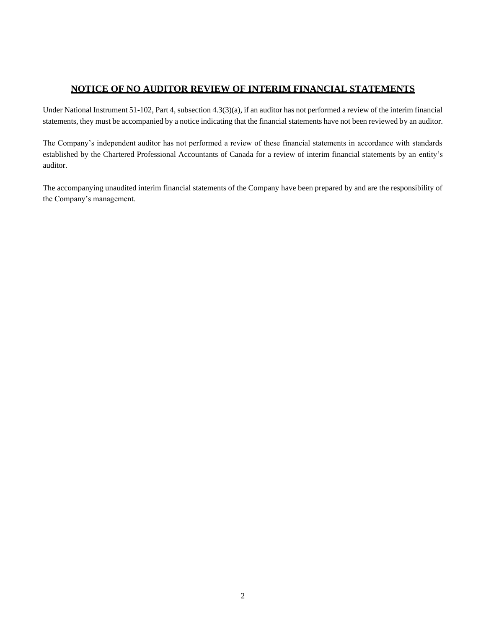# **NOTICE OF NO AUDITOR REVIEW OF INTERIM FINANCIAL STATEMENTS**

Under National Instrument 51-102, Part 4, subsection 4.3(3)(a), if an auditor has not performed a review of the interim financial statements, they must be accompanied by a notice indicating that the financial statements have not been reviewed by an auditor.

The Company's independent auditor has not performed a review of these financial statements in accordance with standards established by the Chartered Professional Accountants of Canada for a review of interim financial statements by an entity's auditor.

The accompanying unaudited interim financial statements of the Company have been prepared by and are the responsibility of the Company's management.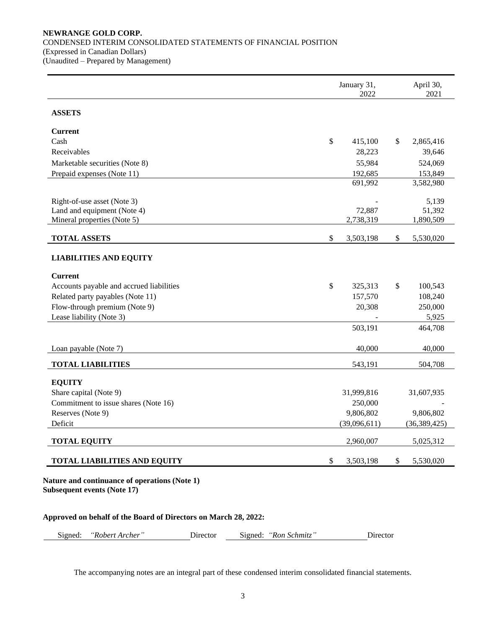# **NEWRANGE GOLD CORP.**  CONDENSED INTERIM CONSOLIDATED STATEMENTS OF FINANCIAL POSITION (Expressed in Canadian Dollars) (Unaudited – Prepared by Management)

|                                          |               | January 31,<br>2022 |                           | April 30,<br>2021 |
|------------------------------------------|---------------|---------------------|---------------------------|-------------------|
| <b>ASSETS</b>                            |               |                     |                           |                   |
| <b>Current</b>                           |               |                     |                           |                   |
| Cash                                     | $\mathsf{\$}$ | 415,100             | \$                        | 2,865,416         |
| Receivables                              |               | 28,223              |                           | 39,646            |
| Marketable securities (Note 8)           |               | 55,984              |                           | 524,069           |
| Prepaid expenses (Note 11)               |               | 192,685             |                           | 153,849           |
|                                          |               | 691,992             |                           | 3,582,980         |
| Right-of-use asset (Note 3)              |               |                     |                           | 5,139             |
| Land and equipment (Note 4)              |               | 72,887              |                           | 51,392            |
| Mineral properties (Note 5)              |               | 2,738,319           |                           | 1,890,509         |
| <b>TOTAL ASSETS</b>                      | $\$$          | 3,503,198           | \$                        | 5,530,020         |
| <b>LIABILITIES AND EQUITY</b>            |               |                     |                           |                   |
| <b>Current</b>                           |               |                     |                           |                   |
| Accounts payable and accrued liabilities | $\$$          | 325,313             | \$                        | 100,543           |
| Related party payables (Note 11)         |               | 157,570             |                           | 108,240           |
| Flow-through premium (Note 9)            |               | 20,308              |                           | 250,000           |
| Lease liability (Note 3)                 |               |                     |                           | 5,925             |
|                                          |               | 503,191             |                           | 464,708           |
| Loan payable (Note 7)                    |               | 40,000              |                           | 40,000            |
| <b>TOTAL LIABILITIES</b>                 |               | 543,191             |                           | 504,708           |
| <b>EQUITY</b>                            |               |                     |                           |                   |
| Share capital (Note 9)                   |               | 31,999,816          |                           | 31,607,935        |
| Commitment to issue shares (Note 16)     |               | 250,000             |                           |                   |
| Reserves (Note 9)                        |               | 9,806,802           |                           | 9,806,802         |
| Deficit                                  |               | (39,096,611)        |                           | (36, 389, 425)    |
| <b>TOTAL EQUITY</b>                      |               | 2,960,007           |                           | 5,025,312         |
| <b>TOTAL LIABILITIES AND EQUITY</b>      | \$            | 3,503,198           | $\boldsymbol{\mathsf{S}}$ | 5,530,020         |

# **Approved on behalf of the Board of Directors on March 28, 2022:**

| Signed:<br>"Robert Archer" | $D$ irector | Signed:<br>u: <i>"Ron Schmitz"</i> | Director |
|----------------------------|-------------|------------------------------------|----------|
|----------------------------|-------------|------------------------------------|----------|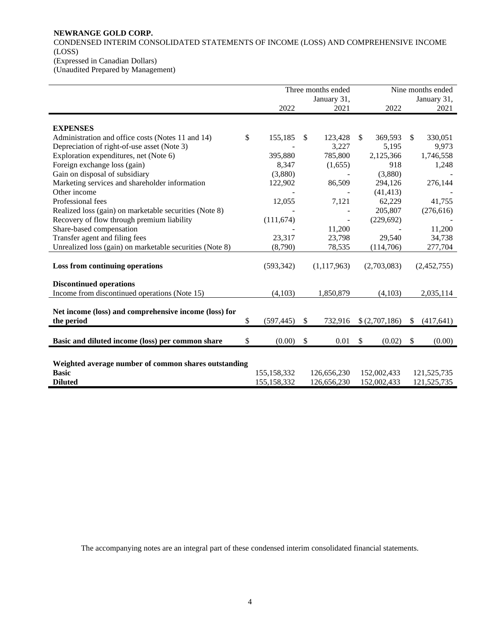# **NEWRANGE GOLD CORP.**

CONDENSED INTERIM CONSOLIDATED STATEMENTS OF INCOME (LOSS) AND COMPREHENSIVE INCOME (LOSS)

(Expressed in Canadian Dollars)

(Unaudited Prepared by Management)

|                                                      | Three months ended |                                                          |             |                                                                          | Nine months ended |                                                                                    |             |
|------------------------------------------------------|--------------------|----------------------------------------------------------|-------------|--------------------------------------------------------------------------|-------------------|------------------------------------------------------------------------------------|-------------|
|                                                      |                    |                                                          |             |                                                                          | January 31,       |                                                                                    |             |
|                                                      |                    |                                                          | 2021        |                                                                          | 2022              |                                                                                    | 2021        |
|                                                      |                    |                                                          |             |                                                                          |                   |                                                                                    |             |
|                                                      |                    |                                                          |             |                                                                          |                   |                                                                                    |             |
| \$                                                   |                    | \$.                                                      |             |                                                                          |                   | \$                                                                                 | 330,051     |
|                                                      |                    |                                                          |             |                                                                          | 5,195             |                                                                                    | 9,973       |
|                                                      |                    |                                                          |             |                                                                          |                   |                                                                                    | 1,746,558   |
|                                                      | 8,347              |                                                          | (1,655)     |                                                                          | 918               |                                                                                    | 1,248       |
|                                                      | (3,880)            |                                                          |             |                                                                          | (3,880)           |                                                                                    |             |
|                                                      | 122,902            |                                                          | 86,509      |                                                                          | 294,126           |                                                                                    | 276,144     |
|                                                      |                    |                                                          |             |                                                                          | (41, 413)         |                                                                                    |             |
|                                                      | 12,055             |                                                          | 7,121       |                                                                          | 62,229            |                                                                                    | 41,755      |
|                                                      |                    |                                                          |             |                                                                          | 205,807           |                                                                                    | (276, 616)  |
|                                                      | (111, 674)         |                                                          |             |                                                                          | (229, 692)        |                                                                                    |             |
|                                                      |                    |                                                          | 11,200      |                                                                          |                   |                                                                                    | 11,200      |
|                                                      | 23,317             |                                                          | 23,798      |                                                                          | 29,540            |                                                                                    | 34,738      |
|                                                      | (8,790)            |                                                          | 78,535      |                                                                          | (114,706)         |                                                                                    | 277,704     |
|                                                      |                    |                                                          |             |                                                                          |                   |                                                                                    |             |
|                                                      | (593, 342)         |                                                          | (1,117,963) |                                                                          |                   |                                                                                    | (2,452,755) |
|                                                      |                    |                                                          |             |                                                                          |                   |                                                                                    |             |
|                                                      |                    |                                                          |             |                                                                          |                   |                                                                                    |             |
|                                                      | (4,103)            |                                                          | 1,850,879   |                                                                          | (4,103)           |                                                                                    | 2,035,114   |
|                                                      |                    |                                                          |             |                                                                          |                   |                                                                                    |             |
|                                                      |                    |                                                          |             |                                                                          |                   |                                                                                    |             |
| \$                                                   | (597, 445)         | \$.                                                      | 732,916     |                                                                          |                   | <sup>\$</sup>                                                                      | (417, 641)  |
|                                                      |                    |                                                          |             |                                                                          |                   |                                                                                    |             |
| \$                                                   | (0.00)             | \$                                                       | 0.01        | \$                                                                       |                   | -S                                                                                 | (0.00)      |
|                                                      |                    |                                                          |             |                                                                          |                   |                                                                                    |             |
| Weighted average number of common shares outstanding |                    |                                                          |             |                                                                          |                   |                                                                                    |             |
|                                                      |                    |                                                          |             |                                                                          |                   |                                                                                    | 121,525,735 |
|                                                      |                    |                                                          |             |                                                                          |                   |                                                                                    | 121,525,735 |
|                                                      |                    | 2022<br>155,185<br>395,880<br>155,158,332<br>155,158,332 |             | January 31,<br>123,428<br>3,227<br>785,800<br>126,656,230<br>126,656,230 | \$                | 369,593<br>2,125,366<br>(2,703,083)<br>\$(2,707,186)<br>152,002,433<br>152,002,433 | (0.02)      |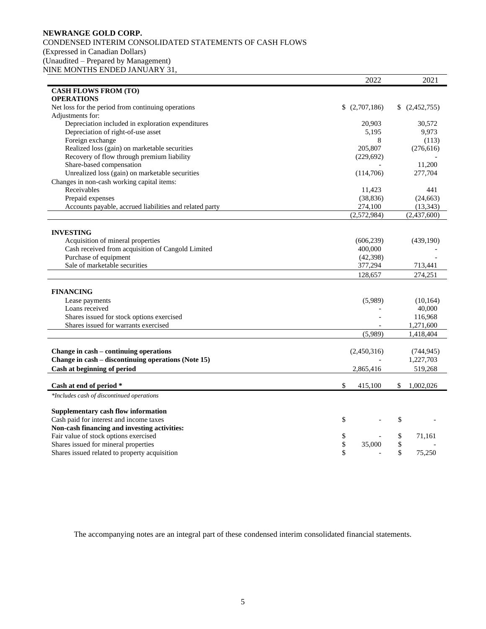# **NEWRANGE GOLD CORP.**  CONDENSED INTERIM CONSOLIDATED STATEMENTS OF CASH FLOWS (Expressed in Canadian Dollars) (Unaudited – Prepared by Management) NINE MONTHS ENDED JANUARY 31,

|                                                         | 2022              |    | 2021        |
|---------------------------------------------------------|-------------------|----|-------------|
| <b>CASH FLOWS FROM (TO)</b>                             |                   |    |             |
| <b>OPERATIONS</b>                                       |                   |    |             |
| Net loss for the period from continuing operations      | \$<br>(2,707,186) |    | (2,452,755) |
| Adjustments for:                                        |                   |    |             |
| Depreciation included in exploration expenditures       | 20,903            |    | 30,572      |
| Depreciation of right-of-use asset                      | 5,195             |    | 9,973       |
| Foreign exchange                                        | 8                 |    | (113)       |
| Realized loss (gain) on marketable securities           | 205,807           |    | (276, 616)  |
| Recovery of flow through premium liability              | (229, 692)        |    |             |
| Share-based compensation                                |                   |    | 11,200      |
| Unrealized loss (gain) on marketable securities         | (114,706)         |    | 277,704     |
| Changes in non-cash working capital items:              |                   |    |             |
| Receivables                                             | 11,423            |    | 441         |
| Prepaid expenses                                        | (38, 836)         |    | (24, 663)   |
| Accounts payable, accrued liabilities and related party | 274,100           |    | (13, 343)   |
|                                                         | (2,572,984)       |    | (2,437,600) |
|                                                         |                   |    |             |
| <b>INVESTING</b>                                        |                   |    |             |
|                                                         |                   |    |             |
| Acquisition of mineral properties                       | (606, 239)        |    | (439,190)   |
| Cash received from acquisition of Cangold Limited       | 400,000           |    |             |
| Purchase of equipment                                   | (42,398)          |    |             |
| Sale of marketable securities                           | 377,294           |    | 713,441     |
|                                                         | 128,657           |    | 274,251     |
|                                                         |                   |    |             |
| <b>FINANCING</b>                                        |                   |    |             |
| Lease payments                                          | (5,989)           |    | (10, 164)   |
| Loans received                                          |                   |    | 40,000      |
| Shares issued for stock options exercised               |                   |    | 116,968     |
| Shares issued for warrants exercised                    |                   |    | 1,271,600   |
|                                                         | (5,989)           |    | 1,418,404   |
|                                                         |                   |    |             |
| Change in cash - continuing operations                  | (2,450,316)       |    | (744, 945)  |
| Change in cash - discontinuing operations (Note 15)     |                   |    | 1,227,703   |
| Cash at beginning of period                             | 2,865,416         |    | 519,268     |
|                                                         |                   |    |             |
| Cash at end of period *                                 | \$<br>415,100     | S. | 1,002,026   |
| *Includes cash of discontinued operations               |                   |    |             |
|                                                         |                   |    |             |
| <b>Supplementary cash flow information</b>              |                   |    |             |
| Cash paid for interest and income taxes                 | \$                | \$ |             |
| Non-cash financing and investing activities:            |                   |    |             |
| Fair value of stock options exercised                   | \$                | \$ | 71,161      |
| Shares issued for mineral properties                    | \$<br>35,000      | \$ |             |
| Shares issued related to property acquisition           | \$                | \$ | 75,250      |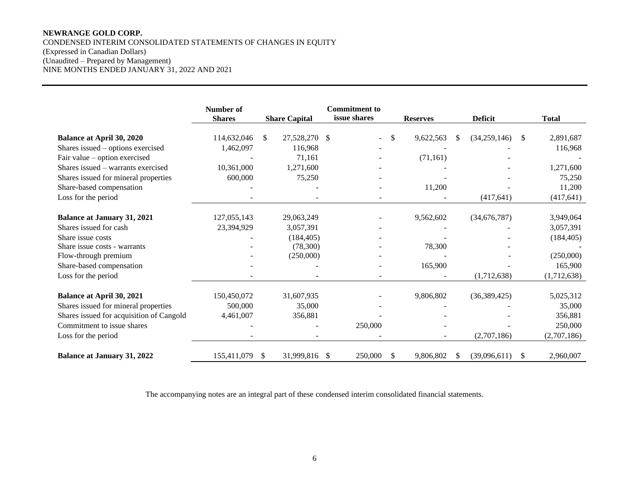# **NEWRANGE GOLD CORP.**  CONDENSED INTERIM CONSOLIDATED STATEMENTS OF CHANGES IN EQUITY (Expressed in Canadian Dollars) (Unaudited – Prepared by Management) NINE MONTHS ENDED JANUARY 31, 2022 AND 2021

|                                          | Number of<br><b>Shares</b> |               | <b>Share Capital</b> | <b>Commitment to</b><br>issue shares |               | <b>Reserves</b> |     | <b>Deficit</b> | <b>Total</b>    |
|------------------------------------------|----------------------------|---------------|----------------------|--------------------------------------|---------------|-----------------|-----|----------------|-----------------|
|                                          |                            |               |                      |                                      |               |                 |     |                |                 |
| <b>Balance at April 30, 2020</b>         | 114,632,046                | <sup>\$</sup> | 27,528,270 \$        |                                      | -S            | 9,622,563       | \$. | (34,259,146)   | \$<br>2,891,687 |
| Shares issued – options exercised        | 1,462,097                  |               | 116,968              |                                      |               |                 |     |                | 116,968         |
| Fair value – option exercised            |                            |               | 71,161               |                                      |               | (71, 161)       |     |                |                 |
| Shares issued – warrants exercised       | 10,361,000                 |               | 1,271,600            |                                      |               |                 |     |                | 1,271,600       |
| Shares issued for mineral properties     | 600,000                    |               | 75,250               |                                      |               |                 |     |                | 75,250          |
| Share-based compensation                 |                            |               |                      |                                      |               | 11,200          |     |                | 11,200          |
| Loss for the period                      |                            |               |                      |                                      |               |                 |     | (417, 641)     | (417, 641)      |
|                                          |                            |               |                      |                                      |               |                 |     |                |                 |
| <b>Balance at January 31, 2021</b>       | 127,055,143                |               | 29,063,249           |                                      |               | 9,562,602       |     | (34,676,787)   | 3,949,064       |
| Shares issued for cash                   | 23,394,929                 |               | 3,057,391            |                                      |               |                 |     |                | 3,057,391       |
| Share issue costs                        |                            |               | (184, 405)           |                                      |               |                 |     |                | (184, 405)      |
| Share issue costs - warrants             |                            |               | (78,300)             |                                      |               | 78,300          |     |                |                 |
| Flow-through premium                     |                            |               | (250,000)            |                                      |               |                 |     |                | (250,000)       |
| Share-based compensation                 |                            |               |                      |                                      |               | 165,900         |     |                | 165,900         |
| Loss for the period                      |                            |               |                      |                                      |               |                 |     | (1,712,638)    | (1,712,638)     |
|                                          | 150,450,072                |               |                      |                                      |               |                 |     |                |                 |
| <b>Balance at April 30, 2021</b>         | 500,000                    |               | 31,607,935           |                                      |               | 9,806,802       |     | (36,389,425)   | 5,025,312       |
| Shares issued for mineral properties     |                            |               | 35,000               |                                      |               |                 |     |                | 35,000          |
| Shares issued for acquisition of Cangold | 4,461,007                  |               | 356,881              |                                      |               |                 |     |                | 356,881         |
| Commitment to issue shares               |                            |               |                      | 250,000                              |               |                 |     |                | 250,000         |
| Loss for the period                      |                            |               |                      |                                      |               |                 |     | (2,707,186)    | (2,707,186)     |
| <b>Balance at January 31, 2022</b>       | 155,411,079                | \$            | 31,999,816 \$        | 250,000                              | <sup>\$</sup> | 9,806,802       | S.  | (39,096,611)   | \$<br>2,960,007 |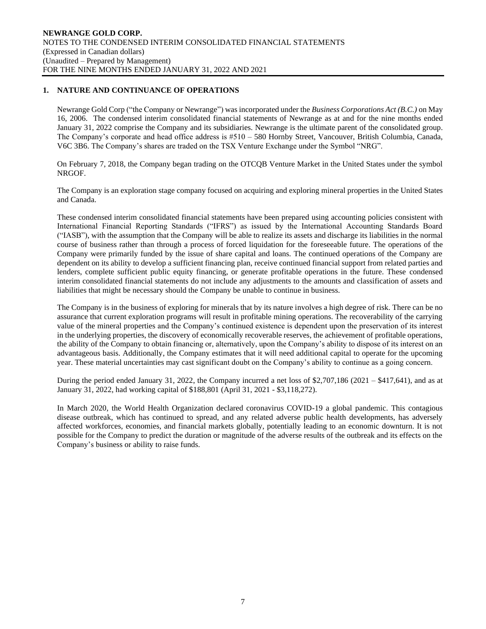# **1. NATURE AND CONTINUANCE OF OPERATIONS**

Newrange Gold Corp ("the Company or Newrange") was incorporated under the *Business Corporations Act (B.C.)* on May 16, 2006. The condensed interim consolidated financial statements of Newrange as at and for the nine months ended January 31, 2022 comprise the Company and its subsidiaries. Newrange is the ultimate parent of the consolidated group. The Company's corporate and head office address is  $#510 - 580$  Hornby Street, Vancouver, British Columbia, Canada, V6C 3B6. The Company's shares are traded on the TSX Venture Exchange under the Symbol "NRG".

On February 7, 2018, the Company began trading on the OTCQB Venture Market in the United States under the symbol NRGOF.

The Company is an exploration stage company focused on acquiring and exploring mineral properties in the United States and Canada.

These condensed interim consolidated financial statements have been prepared using accounting policies consistent with International Financial Reporting Standards ("IFRS") as issued by the International Accounting Standards Board ("IASB"), with the assumption that the Company will be able to realize its assets and discharge its liabilities in the normal course of business rather than through a process of forced liquidation for the foreseeable future. The operations of the Company were primarily funded by the issue of share capital and loans. The continued operations of the Company are dependent on its ability to develop a sufficient financing plan, receive continued financial support from related parties and lenders, complete sufficient public equity financing, or generate profitable operations in the future. These condensed interim consolidated financial statements do not include any adjustments to the amounts and classification of assets and liabilities that might be necessary should the Company be unable to continue in business.

The Company is in the business of exploring for minerals that by its nature involves a high degree of risk. There can be no assurance that current exploration programs will result in profitable mining operations. The recoverability of the carrying value of the mineral properties and the Company's continued existence is dependent upon the preservation of its interest in the underlying properties, the discovery of economically recoverable reserves, the achievement of profitable operations, the ability of the Company to obtain financing or, alternatively, upon the Company's ability to dispose of its interest on an advantageous basis. Additionally, the Company estimates that it will need additional capital to operate for the upcoming year. These material uncertainties may cast significant doubt on the Company's ability to continue as a going concern.

During the period ended January 31, 2022, the Company incurred a net loss of \$2,707,186 (2021 – \$417,641), and as at January 31, 2022, had working capital of \$188,801 (April 31, 2021 - \$3,118,272).

In March 2020, the World Health Organization declared coronavirus COVID-19 a global pandemic. This contagious disease outbreak, which has continued to spread, and any related adverse public health developments, has adversely affected workforces, economies, and financial markets globally, potentially leading to an economic downturn. It is not possible for the Company to predict the duration or magnitude of the adverse results of the outbreak and its effects on the Company's business or ability to raise funds.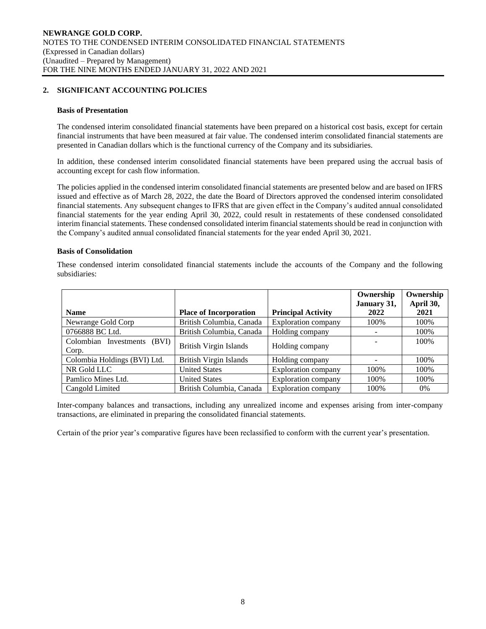# **2. SIGNIFICANT ACCOUNTING POLICIES**

#### **Basis of Presentation**

The condensed interim consolidated financial statements have been prepared on a historical cost basis, except for certain financial instruments that have been measured at fair value. The condensed interim consolidated financial statements are presented in Canadian dollars which is the functional currency of the Company and its subsidiaries.

In addition, these condensed interim consolidated financial statements have been prepared using the accrual basis of accounting except for cash flow information.

The policies applied in the condensed interim consolidated financial statements are presented below and are based on IFRS issued and effective as of March 28, 2022, the date the Board of Directors approved the condensed interim consolidated financial statements. Any subsequent changes to IFRS that are given effect in the Company's audited annual consolidated financial statements for the year ending April 30, 2022, could result in restatements of these condensed consolidated interim financial statements. These condensed consolidated interim financial statements should be read in conjunction with the Company's audited annual consolidated financial statements for the year ended April 30, 2021.

# **Basis of Consolidation**

These condensed interim consolidated financial statements include the accounts of the Company and the following subsidiaries:

|                                |                               |                            | Ownership   | Ownership |
|--------------------------------|-------------------------------|----------------------------|-------------|-----------|
|                                |                               |                            | January 31, | April 30, |
| <b>Name</b>                    | <b>Place of Incorporation</b> | <b>Principal Activity</b>  | 2022        | 2021      |
| Newrange Gold Corp             | British Columbia, Canada      | <b>Exploration company</b> | 100%        | 100%      |
| 0766888 BC Ltd.                | British Columbia, Canada      | Holding company            |             | 100%      |
| Colombian Investments<br>(BVI) | <b>British Virgin Islands</b> |                            |             | 100%      |
| Corp.                          |                               | Holding company            |             |           |
| Colombia Holdings (BVI) Ltd.   | <b>British Virgin Islands</b> | Holding company            |             | 100%      |
| NR Gold LLC                    | <b>United States</b>          | Exploration company        | 100%        | 100%      |
| Pamlico Mines Ltd.             | <b>United States</b>          | Exploration company        | 100%        | 100%      |
| Cangold Limited                | British Columbia, Canada      | Exploration company        | 100%        | $0\%$     |

Inter-company balances and transactions, including any unrealized income and expenses arising from inter-company transactions, are eliminated in preparing the consolidated financial statements.

Certain of the prior year's comparative figures have been reclassified to conform with the current year's presentation.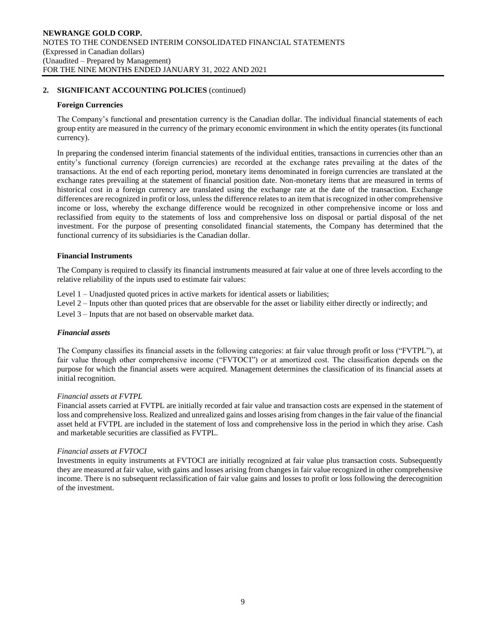#### **Foreign Currencies**

The Company's functional and presentation currency is the Canadian dollar. The individual financial statements of each group entity are measured in the currency of the primary economic environment in which the entity operates (its functional currency).

In preparing the condensed interim financial statements of the individual entities, transactions in currencies other than an entity's functional currency (foreign currencies) are recorded at the exchange rates prevailing at the dates of the transactions. At the end of each reporting period, monetary items denominated in foreign currencies are translated at the exchange rates prevailing at the statement of financial position date. Non-monetary items that are measured in terms of historical cost in a foreign currency are translated using the exchange rate at the date of the transaction. Exchange differences are recognized in profit or loss, unless the difference relates to an item that is recognized in other comprehensive income or loss, whereby the exchange difference would be recognized in other comprehensive income or loss and reclassified from equity to the statements of loss and comprehensive loss on disposal or partial disposal of the net investment. For the purpose of presenting consolidated financial statements, the Company has determined that the functional currency of its subsidiaries is the Canadian dollar.

#### **Financial Instruments**

The Company is required to classify its financial instruments measured at fair value at one of three levels according to the relative reliability of the inputs used to estimate fair values:

Level 1 – Unadjusted quoted prices in active markets for identical assets or liabilities;

Level 2 – Inputs other than quoted prices that are observable for the asset or liability either directly or indirectly; and

Level 3 – Inputs that are not based on observable market data.

#### *Financial assets*

The Company classifies its financial assets in the following categories: at fair value through profit or loss ("FVTPL"), at fair value through other comprehensive income ("FVTOCI") or at amortized cost. The classification depends on the purpose for which the financial assets were acquired. Management determines the classification of its financial assets at initial recognition.

#### *Financial assets at FVTPL*

Financial assets carried at FVTPL are initially recorded at fair value and transaction costs are expensed in the statement of loss and comprehensive loss. Realized and unrealized gains and losses arising from changes in the fair value of the financial asset held at FVTPL are included in the statement of loss and comprehensive loss in the period in which they arise. Cash and marketable securities are classified as FVTPL.

#### *Financial assets at FVTOCI*

Investments in equity instruments at FVTOCI are initially recognized at fair value plus transaction costs. Subsequently they are measured at fair value, with gains and losses arising from changes in fair value recognized in other comprehensive income. There is no subsequent reclassification of fair value gains and losses to profit or loss following the derecognition of the investment.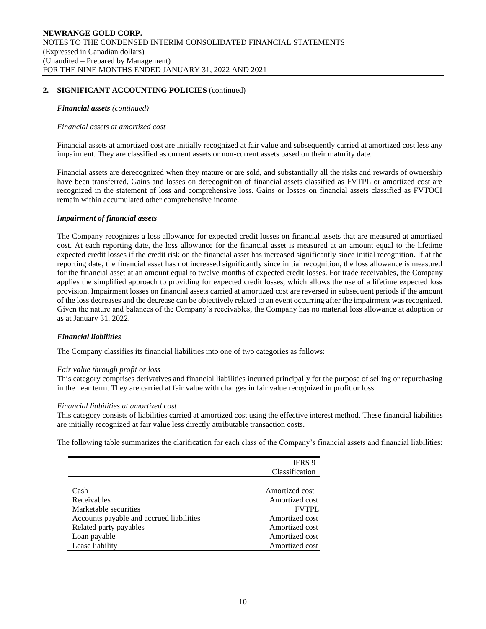#### *Financial assets (continued)*

#### *Financial assets at amortized cost*

Financial assets at amortized cost are initially recognized at fair value and subsequently carried at amortized cost less any impairment. They are classified as current assets or non-current assets based on their maturity date.

Financial assets are derecognized when they mature or are sold, and substantially all the risks and rewards of ownership have been transferred. Gains and losses on derecognition of financial assets classified as FVTPL or amortized cost are recognized in the statement of loss and comprehensive loss. Gains or losses on financial assets classified as FVTOCI remain within accumulated other comprehensive income.

#### *Impairment of financial assets*

The Company recognizes a loss allowance for expected credit losses on financial assets that are measured at amortized cost. At each reporting date, the loss allowance for the financial asset is measured at an amount equal to the lifetime expected credit losses if the credit risk on the financial asset has increased significantly since initial recognition. If at the reporting date, the financial asset has not increased significantly since initial recognition, the loss allowance is measured for the financial asset at an amount equal to twelve months of expected credit losses. For trade receivables, the Company applies the simplified approach to providing for expected credit losses, which allows the use of a lifetime expected loss provision. Impairment losses on financial assets carried at amortized cost are reversed in subsequent periods if the amount of the loss decreases and the decrease can be objectively related to an event occurring after the impairment was recognized. Given the nature and balances of the Company's receivables, the Company has no material loss allowance at adoption or as at January 31, 2022.

#### *Financial liabilities*

The Company classifies its financial liabilities into one of two categories as follows:

#### *Fair value through profit or loss*

This category comprises derivatives and financial liabilities incurred principally for the purpose of selling or repurchasing in the near term. They are carried at fair value with changes in fair value recognized in profit or loss.

#### *Financial liabilities at amortized cost*

This category consists of liabilities carried at amortized cost using the effective interest method. These financial liabilities are initially recognized at fair value less directly attributable transaction costs.

The following table summarizes the clarification for each class of the Company's financial assets and financial liabilities:

|                                          | <b>IFRS</b> 9  |
|------------------------------------------|----------------|
|                                          | Classification |
|                                          |                |
| Cash                                     | Amortized cost |
| Receivables                              | Amortized cost |
| Marketable securities                    | <b>FVTPL</b>   |
| Accounts payable and accrued liabilities | Amortized cost |
| Related party payables                   | Amortized cost |
| Loan payable                             | Amortized cost |
| Lease liability                          | Amortized cost |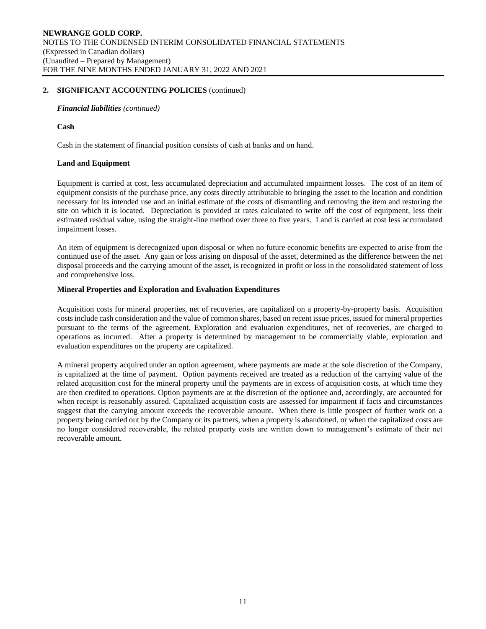*Financial liabilities (continued)*

**Cash** 

Cash in the statement of financial position consists of cash at banks and on hand.

#### **Land and Equipment**

Equipment is carried at cost, less accumulated depreciation and accumulated impairment losses. The cost of an item of equipment consists of the purchase price, any costs directly attributable to bringing the asset to the location and condition necessary for its intended use and an initial estimate of the costs of dismantling and removing the item and restoring the site on which it is located. Depreciation is provided at rates calculated to write off the cost of equipment, less their estimated residual value, using the straight-line method over three to five years. Land is carried at cost less accumulated impairment losses.

An item of equipment is derecognized upon disposal or when no future economic benefits are expected to arise from the continued use of the asset. Any gain or loss arising on disposal of the asset, determined as the difference between the net disposal proceeds and the carrying amount of the asset, is recognized in profit or loss in the consolidated statement of loss and comprehensive loss.

# **Mineral Properties and Exploration and Evaluation Expenditures**

Acquisition costs for mineral properties, net of recoveries, are capitalized on a property-by-property basis. Acquisition costs include cash consideration and the value of common shares, based on recent issue prices, issued for mineral properties pursuant to the terms of the agreement. Exploration and evaluation expenditures, net of recoveries, are charged to operations as incurred. After a property is determined by management to be commercially viable, exploration and evaluation expenditures on the property are capitalized.

A mineral property acquired under an option agreement, where payments are made at the sole discretion of the Company, is capitalized at the time of payment. Option payments received are treated as a reduction of the carrying value of the related acquisition cost for the mineral property until the payments are in excess of acquisition costs, at which time they are then credited to operations. Option payments are at the discretion of the optionee and, accordingly, are accounted for when receipt is reasonably assured. Capitalized acquisition costs are assessed for impairment if facts and circumstances suggest that the carrying amount exceeds the recoverable amount. When there is little prospect of further work on a property being carried out by the Company or its partners, when a property is abandoned, or when the capitalized costs are no longer considered recoverable, the related property costs are written down to management's estimate of their net recoverable amount.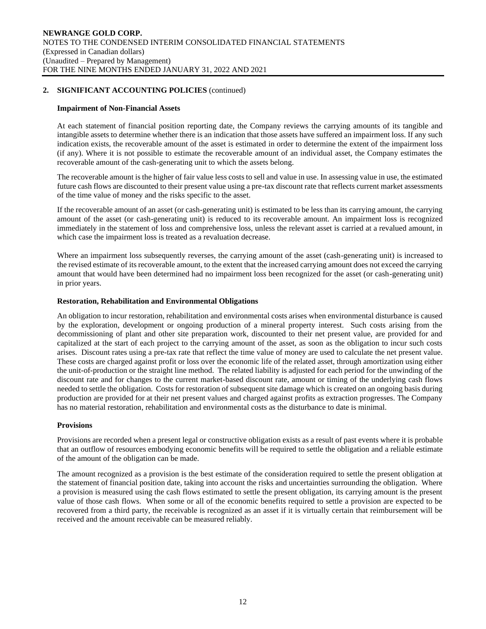#### **Impairment of Non-Financial Assets**

At each statement of financial position reporting date, the Company reviews the carrying amounts of its tangible and intangible assets to determine whether there is an indication that those assets have suffered an impairment loss. If any such indication exists, the recoverable amount of the asset is estimated in order to determine the extent of the impairment loss (if any). Where it is not possible to estimate the recoverable amount of an individual asset, the Company estimates the recoverable amount of the cash-generating unit to which the assets belong.

The recoverable amount is the higher of fair value less costs to sell and value in use. In assessing value in use, the estimated future cash flows are discounted to their present value using a pre-tax discount rate that reflects current market assessments of the time value of money and the risks specific to the asset.

If the recoverable amount of an asset (or cash-generating unit) is estimated to be less than its carrying amount, the carrying amount of the asset (or cash-generating unit) is reduced to its recoverable amount. An impairment loss is recognized immediately in the statement of loss and comprehensive loss, unless the relevant asset is carried at a revalued amount, in which case the impairment loss is treated as a revaluation decrease.

Where an impairment loss subsequently reverses, the carrying amount of the asset (cash-generating unit) is increased to the revised estimate of its recoverable amount, to the extent that the increased carrying amount does not exceed the carrying amount that would have been determined had no impairment loss been recognized for the asset (or cash-generating unit) in prior years.

#### **Restoration, Rehabilitation and Environmental Obligations**

An obligation to incur restoration, rehabilitation and environmental costs arises when environmental disturbance is caused by the exploration, development or ongoing production of a mineral property interest. Such costs arising from the decommissioning of plant and other site preparation work, discounted to their net present value, are provided for and capitalized at the start of each project to the carrying amount of the asset, as soon as the obligation to incur such costs arises. Discount rates using a pre-tax rate that reflect the time value of money are used to calculate the net present value. These costs are charged against profit or loss over the economic life of the related asset, through amortization using either the unit-of-production or the straight line method. The related liability is adjusted for each period for the unwinding of the discount rate and for changes to the current market-based discount rate, amount or timing of the underlying cash flows needed to settle the obligation. Costs for restoration of subsequent site damage which is created on an ongoing basis during production are provided for at their net present values and charged against profits as extraction progresses. The Company has no material restoration, rehabilitation and environmental costs as the disturbance to date is minimal.

#### **Provisions**

Provisions are recorded when a present legal or constructive obligation exists as a result of past events where it is probable that an outflow of resources embodying economic benefits will be required to settle the obligation and a reliable estimate of the amount of the obligation can be made.

The amount recognized as a provision is the best estimate of the consideration required to settle the present obligation at the statement of financial position date, taking into account the risks and uncertainties surrounding the obligation. Where a provision is measured using the cash flows estimated to settle the present obligation, its carrying amount is the present value of those cash flows. When some or all of the economic benefits required to settle a provision are expected to be recovered from a third party, the receivable is recognized as an asset if it is virtually certain that reimbursement will be received and the amount receivable can be measured reliably.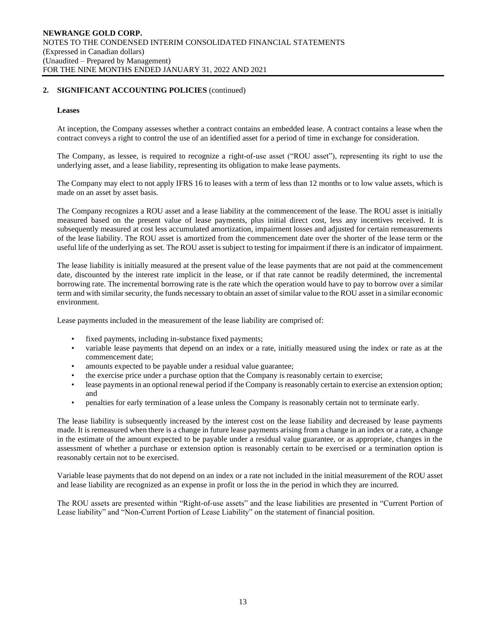#### **Leases**

At inception, the Company assesses whether a contract contains an embedded lease. A contract contains a lease when the contract conveys a right to control the use of an identified asset for a period of time in exchange for consideration.

The Company, as lessee, is required to recognize a right-of-use asset ("ROU asset"), representing its right to use the underlying asset, and a lease liability, representing its obligation to make lease payments.

The Company may elect to not apply IFRS 16 to leases with a term of less than 12 months or to low value assets, which is made on an asset by asset basis.

The Company recognizes a ROU asset and a lease liability at the commencement of the lease. The ROU asset is initially measured based on the present value of lease payments, plus initial direct cost, less any incentives received. It is subsequently measured at cost less accumulated amortization, impairment losses and adjusted for certain remeasurements of the lease liability. The ROU asset is amortized from the commencement date over the shorter of the lease term or the useful life of the underlying as set. The ROU asset is subject to testing for impairment if there is an indicator of impairment.

The lease liability is initially measured at the present value of the lease payments that are not paid at the commencement date, discounted by the interest rate implicit in the lease, or if that rate cannot be readily determined, the incremental borrowing rate. The incremental borrowing rate is the rate which the operation would have to pay to borrow over a similar term and with similar security, the funds necessary to obtain an asset of similar value to the ROU asset in a similar economic environment.

Lease payments included in the measurement of the lease liability are comprised of:

- fixed payments, including in-substance fixed payments;
- variable lease payments that depend on an index or a rate, initially measured using the index or rate as at the commencement date;
- amounts expected to be payable under a residual value guarantee;
- the exercise price under a purchase option that the Company is reasonably certain to exercise;
- lease payments in an optional renewal period if the Company is reasonably certain to exercise an extension option; and
- penalties for early termination of a lease unless the Company is reasonably certain not to terminate early.

The lease liability is subsequently increased by the interest cost on the lease liability and decreased by lease payments made. It is remeasured when there is a change in future lease payments arising from a change in an index or a rate, a change in the estimate of the amount expected to be payable under a residual value guarantee, or as appropriate, changes in the assessment of whether a purchase or extension option is reasonably certain to be exercised or a termination option is reasonably certain not to be exercised.

Variable lease payments that do not depend on an index or a rate not included in the initial measurement of the ROU asset and lease liability are recognized as an expense in profit or loss the in the period in which they are incurred.

The ROU assets are presented within "Right-of-use assets" and the lease liabilities are presented in "Current Portion of Lease liability" and "Non-Current Portion of Lease Liability" on the statement of financial position.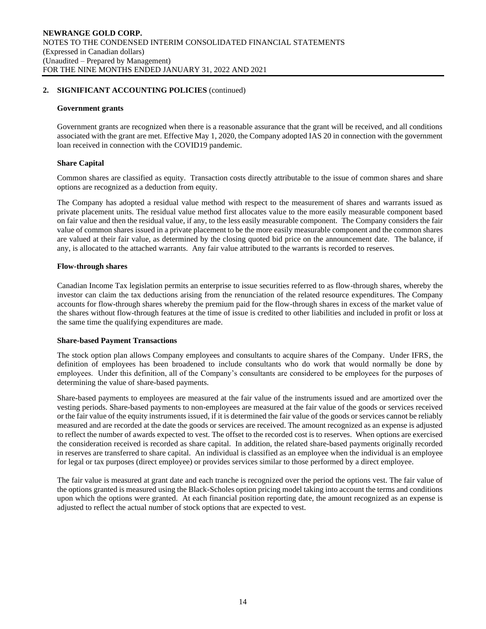#### **Government grants**

Government grants are recognized when there is a reasonable assurance that the grant will be received, and all conditions associated with the grant are met. Effective May 1, 2020, the Company adopted IAS 20 in connection with the government loan received in connection with the COVID19 pandemic.

#### **Share Capital**

Common shares are classified as equity. Transaction costs directly attributable to the issue of common shares and share options are recognized as a deduction from equity.

The Company has adopted a residual value method with respect to the measurement of shares and warrants issued as private placement units. The residual value method first allocates value to the more easily measurable component based on fair value and then the residual value, if any, to the less easily measurable component. The Company considers the fair value of common shares issued in a private placement to be the more easily measurable component and the common shares are valued at their fair value, as determined by the closing quoted bid price on the announcement date. The balance, if any, is allocated to the attached warrants. Any fair value attributed to the warrants is recorded to reserves.

#### **Flow-through shares**

Canadian Income Tax legislation permits an enterprise to issue securities referred to as flow-through shares, whereby the investor can claim the tax deductions arising from the renunciation of the related resource expenditures. The Company accounts for flow-through shares whereby the premium paid for the flow-through shares in excess of the market value of the shares without flow-through features at the time of issue is credited to other liabilities and included in profit or loss at the same time the qualifying expenditures are made.

#### **Share-based Payment Transactions**

The stock option plan allows Company employees and consultants to acquire shares of the Company. Under IFRS, the definition of employees has been broadened to include consultants who do work that would normally be done by employees. Under this definition, all of the Company's consultants are considered to be employees for the purposes of determining the value of share-based payments.

Share-based payments to employees are measured at the fair value of the instruments issued and are amortized over the vesting periods. Share-based payments to non-employees are measured at the fair value of the goods or services received or the fair value of the equity instruments issued, if it is determined the fair value of the goods or services cannot be reliably measured and are recorded at the date the goods or services are received. The amount recognized as an expense is adjusted to reflect the number of awards expected to vest. The offset to the recorded cost is to reserves. When options are exercised the consideration received is recorded as share capital. In addition, the related share-based payments originally recorded in reserves are transferred to share capital. An individual is classified as an employee when the individual is an employee for legal or tax purposes (direct employee) or provides services similar to those performed by a direct employee.

The fair value is measured at grant date and each tranche is recognized over the period the options vest. The fair value of the options granted is measured using the Black-Scholes option pricing model taking into account the terms and conditions upon which the options were granted. At each financial position reporting date, the amount recognized as an expense is adjusted to reflect the actual number of stock options that are expected to vest.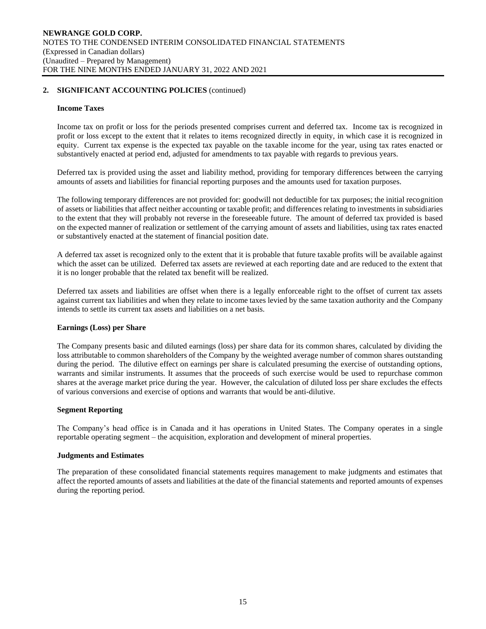#### **Income Taxes**

Income tax on profit or loss for the periods presented comprises current and deferred tax. Income tax is recognized in profit or loss except to the extent that it relates to items recognized directly in equity, in which case it is recognized in equity. Current tax expense is the expected tax payable on the taxable income for the year, using tax rates enacted or substantively enacted at period end, adjusted for amendments to tax payable with regards to previous years.

Deferred tax is provided using the asset and liability method, providing for temporary differences between the carrying amounts of assets and liabilities for financial reporting purposes and the amounts used for taxation purposes.

The following temporary differences are not provided for: goodwill not deductible for tax purposes; the initial recognition of assets or liabilities that affect neither accounting or taxable profit; and differences relating to investments in subsidiaries to the extent that they will probably not reverse in the foreseeable future. The amount of deferred tax provided is based on the expected manner of realization or settlement of the carrying amount of assets and liabilities, using tax rates enacted or substantively enacted at the statement of financial position date.

A deferred tax asset is recognized only to the extent that it is probable that future taxable profits will be available against which the asset can be utilized. Deferred tax assets are reviewed at each reporting date and are reduced to the extent that it is no longer probable that the related tax benefit will be realized.

Deferred tax assets and liabilities are offset when there is a legally enforceable right to the offset of current tax assets against current tax liabilities and when they relate to income taxes levied by the same taxation authority and the Company intends to settle its current tax assets and liabilities on a net basis.

#### **Earnings (Loss) per Share**

The Company presents basic and diluted earnings (loss) per share data for its common shares, calculated by dividing the loss attributable to common shareholders of the Company by the weighted average number of common shares outstanding during the period. The dilutive effect on earnings per share is calculated presuming the exercise of outstanding options, warrants and similar instruments. It assumes that the proceeds of such exercise would be used to repurchase common shares at the average market price during the year. However, the calculation of diluted loss per share excludes the effects of various conversions and exercise of options and warrants that would be anti-dilutive.

#### **Segment Reporting**

The Company's head office is in Canada and it has operations in United States. The Company operates in a single reportable operating segment – the acquisition, exploration and development of mineral properties.

#### **Judgments and Estimates**

The preparation of these consolidated financial statements requires management to make judgments and estimates that affect the reported amounts of assets and liabilities at the date of the financial statements and reported amounts of expenses during the reporting period.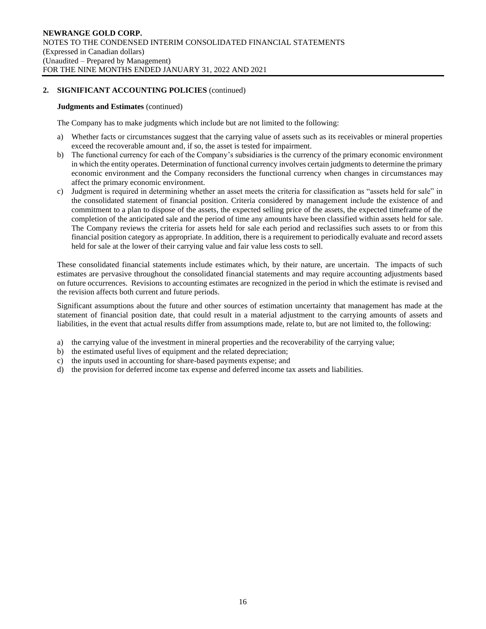#### **Judgments and Estimates** (continued)

The Company has to make judgments which include but are not limited to the following:

- a) Whether facts or circumstances suggest that the carrying value of assets such as its receivables or mineral properties exceed the recoverable amount and, if so, the asset is tested for impairment.
- b) The functional currency for each of the Company's subsidiaries is the currency of the primary economic environment in which the entity operates. Determination of functional currency involves certain judgments to determine the primary economic environment and the Company reconsiders the functional currency when changes in circumstances may affect the primary economic environment.
- c) Judgment is required in determining whether an asset meets the criteria for classification as "assets held for sale" in the consolidated statement of financial position. Criteria considered by management include the existence of and commitment to a plan to dispose of the assets, the expected selling price of the assets, the expected timeframe of the completion of the anticipated sale and the period of time any amounts have been classified within assets held for sale. The Company reviews the criteria for assets held for sale each period and reclassifies such assets to or from this financial position category as appropriate. In addition, there is a requirement to periodically evaluate and record assets held for sale at the lower of their carrying value and fair value less costs to sell.

These consolidated financial statements include estimates which, by their nature, are uncertain. The impacts of such estimates are pervasive throughout the consolidated financial statements and may require accounting adjustments based on future occurrences. Revisions to accounting estimates are recognized in the period in which the estimate is revised and the revision affects both current and future periods.

Significant assumptions about the future and other sources of estimation uncertainty that management has made at the statement of financial position date, that could result in a material adjustment to the carrying amounts of assets and liabilities, in the event that actual results differ from assumptions made, relate to, but are not limited to, the following:

- a) the carrying value of the investment in mineral properties and the recoverability of the carrying value;
- b) the estimated useful lives of equipment and the related depreciation;
- c) the inputs used in accounting for share-based payments expense; and
- d) the provision for deferred income tax expense and deferred income tax assets and liabilities.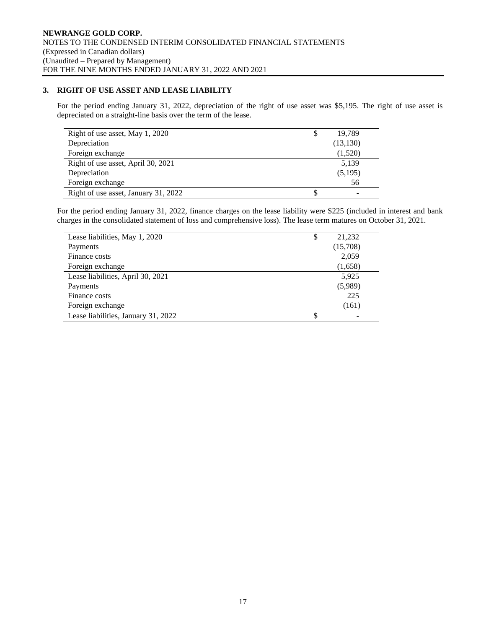# **3. RIGHT OF USE ASSET AND LEASE LIABILITY**

For the period ending January 31, 2022, depreciation of the right of use asset was \$5,195. The right of use asset is depreciated on a straight-line basis over the term of the lease.

| Right of use asset, May 1, 2020      | 19,789    |
|--------------------------------------|-----------|
| Depreciation                         | (13, 130) |
| Foreign exchange                     | (1,520)   |
| Right of use asset, April 30, 2021   | 5,139     |
| Depreciation                         | (5,195)   |
| Foreign exchange                     | 56        |
| Right of use asset, January 31, 2022 | -         |

For the period ending January 31, 2022, finance charges on the lease liability were \$225 (included in interest and bank charges in the consolidated statement of loss and comprehensive loss). The lease term matures on October 31, 2021.

| Lease liabilities, May 1, 2020      | \$<br>21,232 |
|-------------------------------------|--------------|
| Payments                            | (15,708)     |
| Finance costs                       | 2,059        |
| Foreign exchange                    | (1,658)      |
| Lease liabilities, April 30, 2021   | 5,925        |
| Payments                            | (5,989)      |
| Finance costs                       | 225          |
| Foreign exchange                    | (161)        |
| Lease liabilities, January 31, 2022 |              |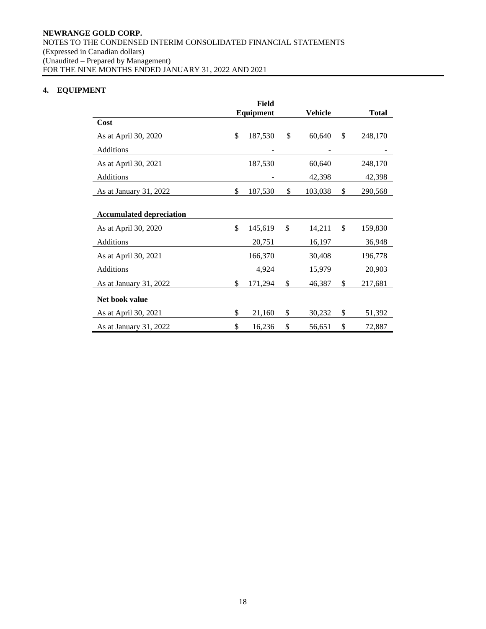# **4. EQUIPMENT**

|                                 | Equipment     | Vehicle       | <b>Total</b>  |
|---------------------------------|---------------|---------------|---------------|
| Cost                            |               |               |               |
| As at April 30, 2020            | \$<br>187,530 | \$<br>60,640  | \$<br>248,170 |
| Additions                       |               |               |               |
| As at April 30, 2021            | 187,530       | 60,640        | 248,170       |
| Additions                       |               | 42,398        | 42,398        |
| As at January 31, 2022          | \$<br>187,530 | \$<br>103,038 | \$<br>290,568 |
|                                 |               |               |               |
| <b>Accumulated depreciation</b> |               |               |               |
| As at April 30, 2020            | \$<br>145,619 | \$<br>14,211  | \$<br>159,830 |
| Additions                       | 20,751        | 16,197        | 36,948        |
| As at April 30, 2021            | 166,370       | 30,408        | 196,778       |
| Additions                       | 4,924         | 15,979        | 20,903        |
| As at January 31, 2022          | \$<br>171,294 | \$<br>46,387  | \$<br>217,681 |
| Net book value                  |               |               |               |
| As at April 30, 2021            | \$<br>21,160  | \$<br>30,232  | \$<br>51,392  |
| As at January 31, 2022          | \$<br>16,236  | \$<br>56,651  | \$<br>72,887  |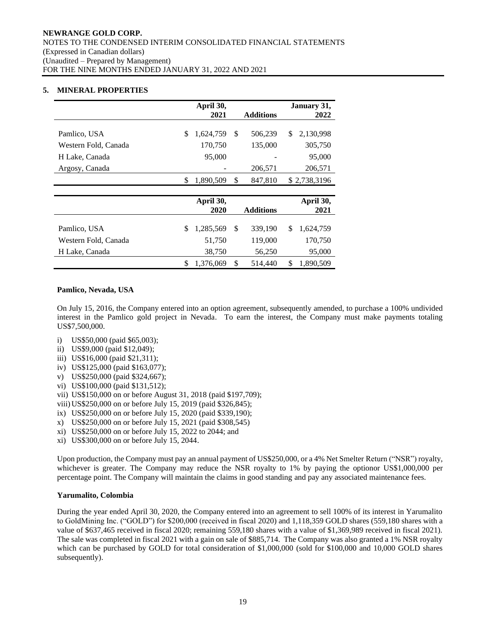# **5. MINERAL PROPERTIES**

|                      | April 30,       |                  | January 31,     |
|----------------------|-----------------|------------------|-----------------|
|                      | 2021            | <b>Additions</b> | 2022            |
| Pamlico, USA         | \$<br>1,624,759 | \$<br>506,239    | \$<br>2,130,998 |
| Western Fold, Canada | 170,750         | 135,000          | 305,750         |
| H Lake, Canada       | 95,000          |                  | 95,000          |
| Argosy, Canada       |                 | 206,571          | 206,571         |
|                      | \$<br>1,890,509 | \$<br>847,810    | \$2,738,3196    |
|                      |                 |                  |                 |
|                      | April 30,       |                  | April 30,       |
|                      | 2020            | <b>Additions</b> | 2021            |
| Pamlico, USA         | \$<br>1,285,569 | \$<br>339,190    | \$<br>1,624,759 |
| Western Fold, Canada | 51,750          | 119,000          | 170,750         |
| H Lake, Canada       | 38,750          | 56,250           | 95,000          |
|                      | \$<br>1,376,069 | \$<br>514,440    | \$<br>1,890,509 |

#### **Pamlico, Nevada, USA**

On July 15, 2016, the Company entered into an option agreement, subsequently amended, to purchase a 100% undivided interest in the Pamlico gold project in Nevada. To earn the interest, the Company must make payments totaling US\$7,500,000.

- i) US\$50,000 (paid \$65,003);
- ii) US\$9,000 (paid \$12,049);
- iii) US\$16,000 (paid \$21,311);
- iv) US\$125,000 (paid \$163,077);
- v) US\$250,000 (paid \$324,667);
- vi) US\$100,000 (paid \$131,512);
- vii) US\$150,000 on or before August 31, 2018 (paid \$197,709);
- viii)US\$250,000 on or before July 15, 2019 (paid \$326,845);
- ix) US\$250,000 on or before July 15, 2020 (paid \$339,190);
- x) US\$250,000 on or before July 15, 2021 (paid \$308,545)
- xi) US\$250,000 on or before July 15, 2022 to 2044; and
- xi) US\$300,000 on or before July 15, 2044.

Upon production, the Company must pay an annual payment of US\$250,000, or a 4% Net Smelter Return ("NSR") royalty, whichever is greater. The Company may reduce the NSR royalty to 1% by paying the optionor US\$1,000,000 per percentage point. The Company will maintain the claims in good standing and pay any associated maintenance fees.

# **Yarumalito, Colombia**

During the year ended April 30, 2020, the Company entered into an agreement to sell 100% of its interest in Yarumalito to GoldMining Inc. ("GOLD") for \$200,000 (received in fiscal 2020) and 1,118,359 GOLD shares (559,180 shares with a value of \$637,465 received in fiscal 2020; remaining 559,180 shares with a value of \$1,369,989 received in fiscal 2021). The sale was completed in fiscal 2021 with a gain on sale of \$885,714. The Company was also granted a 1% NSR royalty which can be purchased by GOLD for total consideration of \$1,000,000 (sold for \$100,000 and 10,000 GOLD shares subsequently).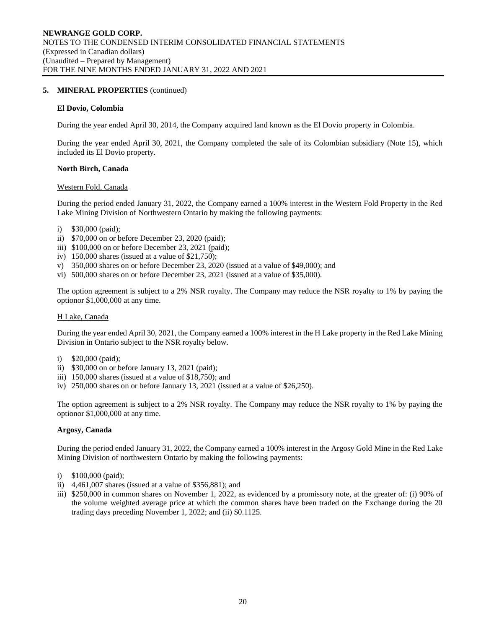# **5. MINERAL PROPERTIES** (continued)

#### **El Dovio, Colombia**

During the year ended April 30, 2014, the Company acquired land known as the El Dovio property in Colombia.

During the year ended April 30, 2021, the Company completed the sale of its Colombian subsidiary (Note 15), which included its El Dovio property.

#### **North Birch, Canada**

#### Western Fold, Canada

During the period ended January 31, 2022, the Company earned a 100% interest in the Western Fold Property in the Red Lake Mining Division of Northwestern Ontario by making the following payments:

- i) \$30,000 (paid);
- ii) \$70,000 on or before December 23, 2020 (paid);
- iii) \$100,000 on or before December 23, 2021 (paid);
- iv)  $150,000$  shares (issued at a value of \$21,750);
- v) 350,000 shares on or before December 23, 2020 (issued at a value of \$49,000); and
- vi) 500,000 shares on or before December 23, 2021 (issued at a value of \$35,000).

The option agreement is subject to a 2% NSR royalty. The Company may reduce the NSR royalty to 1% by paying the optionor \$1,000,000 at any time.

#### H Lake, Canada

During the year ended April 30, 2021, the Company earned a 100% interest in the H Lake property in the Red Lake Mining Division in Ontario subject to the NSR royalty below.

- i) \$20,000 (paid);
- ii) \$30,000 on or before January 13, 2021 (paid);
- iii) 150,000 shares (issued at a value of \$18,750); and
- iv) 250,000 shares on or before January 13, 2021 (issued at a value of \$26,250).

The option agreement is subject to a 2% NSR royalty. The Company may reduce the NSR royalty to 1% by paying the optionor \$1,000,000 at any time.

#### **Argosy, Canada**

During the period ended January 31, 2022, the Company earned a 100% interest in the Argosy Gold Mine in the Red Lake Mining Division of northwestern Ontario by making the following payments:

- i) \$100,000 (paid);
- ii) 4,461,007 shares (issued at a value of \$356,881); and
- iii) \$250,000 in common shares on November 1, 2022, as evidenced by a promissory note, at the greater of: (i) 90% of the volume weighted average price at which the common shares have been traded on the Exchange during the 20 trading days preceding November 1, 2022; and (ii) \$0.1125.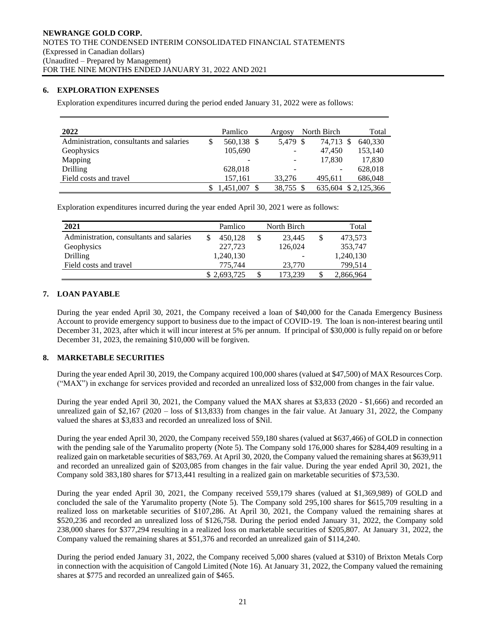# **6. EXPLORATION EXPENSES**

Exploration expenditures incurred during the period ended January 31, 2022 were as follows:

| 2022                                     |   | Pamlico                  | Argosy    | North Birch | Total               |
|------------------------------------------|---|--------------------------|-----------|-------------|---------------------|
| Administration, consultants and salaries | S | 560,138 \$               | 5.479 \$  | 74.713 \$   | 640.330             |
| Geophysics                               |   | 105,690                  | ۰.        | 47.450      | 153,140             |
| Mapping                                  |   | $\overline{\phantom{a}}$ |           | 17.830      | 17,830              |
| <b>Drilling</b>                          |   | 628,018                  |           |             | 628,018             |
| Field costs and travel                   |   | 157,161                  | 33,276    | 495.611     | 686,048             |
|                                          |   | 1,451,007                | 38,755 \$ |             | 635,604 \$2,125,366 |

Exploration expenditures incurred during the year ended April 30, 2021 were as follows:

| 2021                                     | Pamlico     | North Birch | Total         |
|------------------------------------------|-------------|-------------|---------------|
| Administration, consultants and salaries | 450.128     | 23.445      | \$<br>473,573 |
| Geophysics                               | 227,723     | 126,024     | 353,747       |
| Drilling                                 | 1,240,130   |             | 1,240,130     |
| Field costs and travel                   | 775.744     | 23,770      | 799,514       |
|                                          | \$2,693,725 | 173,239     | 2,866,964     |

# **7. LOAN PAYABLE**

During the year ended April 30, 2021, the Company received a loan of \$40,000 for the Canada Emergency Business Account to provide emergency support to business due to the impact of COVID-19. The loan is non-interest bearing until December 31, 2023, after which it will incur interest at 5% per annum. If principal of \$30,000 is fully repaid on or before December 31, 2023, the remaining \$10,000 will be forgiven.

# **8. MARKETABLE SECURITIES**

During the year ended April 30, 2019, the Company acquired 100,000 shares (valued at \$47,500) of MAX Resources Corp. ("MAX") in exchange for services provided and recorded an unrealized loss of \$32,000 from changes in the fair value.

During the year ended April 30, 2021, the Company valued the MAX shares at \$3,833 (2020 - \$1,666) and recorded an unrealized gain of \$2,167 (2020 – loss of \$13,833) from changes in the fair value. At January 31, 2022, the Company valued the shares at \$3,833 and recorded an unrealized loss of \$Nil.

During the year ended April 30, 2020, the Company received 559,180 shares (valued at \$637,466) of GOLD in connection with the pending sale of the Yarumalito property (Note 5). The Company sold 176,000 shares for \$284,409 resulting in a realized gain on marketable securities of \$83,769. At April 30, 2020, the Company valued the remaining shares at \$639,911 and recorded an unrealized gain of \$203,085 from changes in the fair value. During the year ended April 30, 2021, the Company sold 383,180 shares for \$713,441 resulting in a realized gain on marketable securities of \$73,530.

During the year ended April 30, 2021, the Company received 559,179 shares (valued at \$1,369,989) of GOLD and concluded the sale of the Yarumalito property (Note 5). The Company sold 295,100 shares for \$615,709 resulting in a realized loss on marketable securities of \$107,286. At April 30, 2021, the Company valued the remaining shares at \$520,236 and recorded an unrealized loss of \$126,758. During the period ended January 31, 2022, the Company sold 238,000 shares for \$377,294 resulting in a realized loss on marketable securities of \$205,807. At January 31, 2022, the Company valued the remaining shares at \$51,376 and recorded an unrealized gain of \$114,240.

During the period ended January 31, 2022, the Company received 5,000 shares (valued at \$310) of Brixton Metals Corp in connection with the acquisition of Cangold Limited (Note 16). At January 31, 2022, the Company valued the remaining shares at \$775 and recorded an unrealized gain of \$465.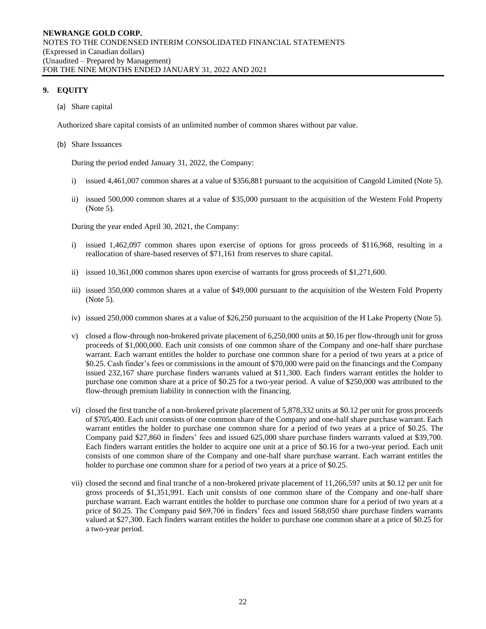# **9. EQUITY**

(a) Share capital

Authorized share capital consists of an unlimited number of common shares without par value.

#### (b) Share Issuances

During the period ended January 31, 2022, the Company:

- i) issued 4,461,007 common shares at a value of \$356,881 pursuant to the acquisition of Cangold Limited (Note 5).
- ii) issued 500,000 common shares at a value of \$35,000 pursuant to the acquisition of the Western Fold Property (Note 5).

During the year ended April 30, 2021, the Company:

- i) issued 1,462,097 common shares upon exercise of options for gross proceeds of \$116,968, resulting in a reallocation of share-based reserves of \$71,161 from reserves to share capital.
- ii) issued 10,361,000 common shares upon exercise of warrants for gross proceeds of \$1,271,600.
- iii) issued 350,000 common shares at a value of \$49,000 pursuant to the acquisition of the Western Fold Property (Note 5).
- iv) issued 250,000 common shares at a value of \$26,250 pursuant to the acquisition of the H Lake Property (Note 5).
- v) closed a flow-through non-brokered private placement of 6,250,000 units at \$0.16 per flow-through unit for gross proceeds of \$1,000,000. Each unit consists of one common share of the Company and one-half share purchase warrant. Each warrant entitles the holder to purchase one common share for a period of two years at a price of \$0.25. Cash finder's fees or commissions in the amount of \$70,000 were paid on the financings and the Company issued 232,167 share purchase finders warrants valued at \$11,300. Each finders warrant entitles the holder to purchase one common share at a price of \$0.25 for a two-year period. A value of \$250,000 was attributed to the flow-through premium liability in connection with the financing.
- vi) closed the first tranche of a non-brokered private placement of 5,878,332 units at \$0.12 per unit for gross proceeds of \$705,400. Each unit consists of one common share of the Company and one-half share purchase warrant. Each warrant entitles the holder to purchase one common share for a period of two years at a price of \$0.25. The Company paid \$27,860 in finders' fees and issued 625,000 share purchase finders warrants valued at \$39,700. Each finders warrant entitles the holder to acquire one unit at a price of \$0.16 for a two-year period. Each unit consists of one common share of the Company and one-half share purchase warrant. Each warrant entitles the holder to purchase one common share for a period of two years at a price of \$0.25.
- vii) closed the second and final tranche of a non-brokered private placement of 11,266,597 units at \$0.12 per unit for gross proceeds of \$1,351,991. Each unit consists of one common share of the Company and one-half share purchase warrant. Each warrant entitles the holder to purchase one common share for a period of two years at a price of \$0.25. The Company paid \$69,706 in finders' fees and issued 568,050 share purchase finders warrants valued at \$27,300. Each finders warrant entitles the holder to purchase one common share at a price of \$0.25 for a two-year period.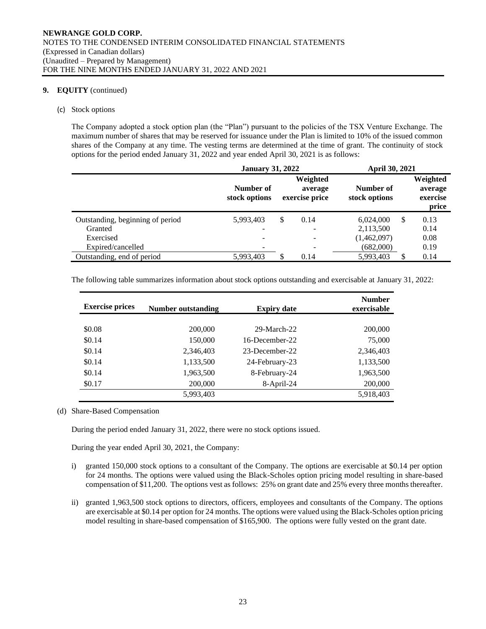# **9. EQUITY** (continued)

#### (c) Stock options

The Company adopted a stock option plan (the "Plan") pursuant to the policies of the TSX Venture Exchange. The maximum number of shares that may be reserved for issuance under the Plan is limited to 10% of the issued common shares of the Company at any time. The vesting terms are determined at the time of grant. The continuity of stock options for the period ended January 31, 2022 and year ended April 30, 2021 is as follows:

|                                  | <b>January 31, 2022</b>    |   |                                       | April 30, 2021             |   |                                          |
|----------------------------------|----------------------------|---|---------------------------------------|----------------------------|---|------------------------------------------|
|                                  | Number of<br>stock options |   | Weighted<br>average<br>exercise price | Number of<br>stock options |   | Weighted<br>average<br>exercise<br>price |
| Outstanding, beginning of period | 5,993,403                  | S | 0.14                                  | 6,024,000                  | S | 0.13                                     |
| Granted                          | $\overline{\phantom{0}}$   |   |                                       | 2,113,500                  |   | 0.14                                     |
| Exercised                        |                            |   |                                       | (1,462,097)                |   | 0.08                                     |
| Expired/cancelled                |                            |   |                                       | (682,000)                  |   | 0.19                                     |
| Outstanding, end of period       | 5,993,403                  |   | 0.14                                  | 5,993,403                  |   | 0.14                                     |

The following table summarizes information about stock options outstanding and exercisable at January 31, 2022:

| <b>Exercise prices</b> | Number outstanding | <b>Expiry date</b> | <b>Number</b><br>exercisable |
|------------------------|--------------------|--------------------|------------------------------|
|                        |                    |                    |                              |
| \$0.08                 | 200,000            | $29-March-22$      | 200,000                      |
| \$0.14                 | 150,000            | 16-December-22     | 75,000                       |
| \$0.14                 | 2.346.403          | 23-December-22     | 2,346,403                    |
| \$0.14                 | 1,133,500          | 24-February-23     | 1,133,500                    |
| \$0.14                 | 1,963,500          | 8-February-24      | 1,963,500                    |
| \$0.17                 | 200,000            | 8-April-24         | 200,000                      |
|                        | 5,993,403          |                    | 5,918,403                    |

(d) Share-Based Compensation

During the period ended January 31, 2022, there were no stock options issued.

During the year ended April 30, 2021, the Company:

- i) granted 150,000 stock options to a consultant of the Company. The options are exercisable at \$0.14 per option for 24 months. The options were valued using the Black-Scholes option pricing model resulting in share-based compensation of \$11,200. The options vest as follows: 25% on grant date and 25% every three months thereafter.
- ii) granted 1,963,500 stock options to directors, officers, employees and consultants of the Company. The options are exercisable at \$0.14 per option for 24 months. The options were valued using the Black-Scholes option pricing model resulting in share-based compensation of \$165,900. The options were fully vested on the grant date.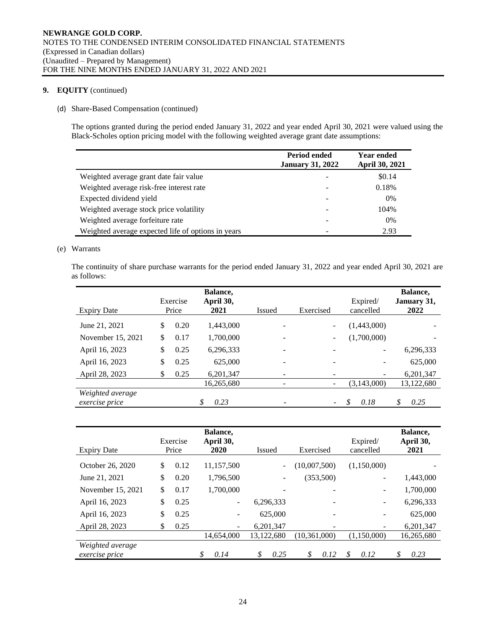# **9. EQUITY** (continued)

#### (d) Share-Based Compensation (continued)

The options granted during the period ended January 31, 2022 and year ended April 30, 2021 were valued using the Black-Scholes option pricing model with the following weighted average grant date assumptions:

|                                                    | Period ended<br><b>January 31, 2022</b> | <b>Year ended</b><br>April 30, 2021 |
|----------------------------------------------------|-----------------------------------------|-------------------------------------|
| Weighted average grant date fair value             |                                         | \$0.14                              |
| Weighted average risk-free interest rate           |                                         | 0.18%                               |
| Expected dividend yield                            |                                         | 0%                                  |
| Weighted average stock price volatility            |                                         | 104%                                |
| Weighted average forfeiture rate                   |                                         | $0\%$                               |
| Weighted average expected life of options in years |                                         | 2.93                                |

#### (e) Warrants

The continuity of share purchase warrants for the period ended January 31, 2022 and year ended April 30, 2021 are as follows:

| <b>Expiry Date</b>                        | Exercise<br>Price | Balance,<br>April 30,<br>2021 | Issued | Exercised                | Expired/<br>cancelled | Balance,<br>January 31,<br>2022 |
|-------------------------------------------|-------------------|-------------------------------|--------|--------------------------|-----------------------|---------------------------------|
| June 21, 2021                             | \$<br>0.20        | 1,443,000                     |        |                          | (1,443,000)           |                                 |
| November 15, 2021                         | \$<br>0.17        | 1,700,000                     |        |                          | (1,700,000)           |                                 |
| April 16, 2023                            | \$<br>0.25        | 6,296,333                     |        |                          | -                     | 6,296,333                       |
| April 16, 2023                            | \$<br>0.25        | 625,000                       |        |                          | -                     | 625,000                         |
| April 28, 2023                            | \$<br>0.25        | 6,201,347                     |        |                          |                       | 6,201,347                       |
|                                           |                   | 16,265,680                    |        |                          | (3,143,000)           | 13,122,680                      |
| Weighted average<br><i>exercise</i> price |                   | 0.23                          |        | $\overline{\phantom{0}}$ | 0.18                  | \$<br>0.25                      |

| <b>Expiry Date</b>                        | Exercise<br>Price | Balance,<br>April 30,<br>2020 | Issued     | Exercised      |             | Balance,<br>April 30,<br>2021 |
|-------------------------------------------|-------------------|-------------------------------|------------|----------------|-------------|-------------------------------|
| October 26, 2020                          | \$<br>0.12        | 11,157,500                    |            | (10,007,500)   | (1,150,000) |                               |
| June 21, 2021                             | \$<br>0.20        | 1,796,500                     |            | (353,500)      |             | 1,443,000                     |
| November 15, 2021                         | \$<br>0.17        | 1,700,000                     |            |                | -           | 1,700,000                     |
| April 16, 2023                            | \$<br>0.25        | $\overline{\phantom{a}}$      | 6,296,333  |                | -           | 6,296,333                     |
| April 16, 2023                            | \$<br>0.25        | $\overline{\phantom{a}}$      | 625,000    |                |             | 625,000                       |
| April 28, 2023                            | \$<br>0.25        | $\blacksquare$                | 6,201,347  |                | ۰           | 6,201,347                     |
|                                           |                   | 14,654,000                    | 13,122,680 | (10, 361, 000) | (1.150.000) | 16,265,680                    |
| Weighted average<br><i>exercise</i> price |                   | \$<br>0.14                    | \$<br>0.25 | \$<br>0.12     | \$<br>0.12  | \$<br>0.23                    |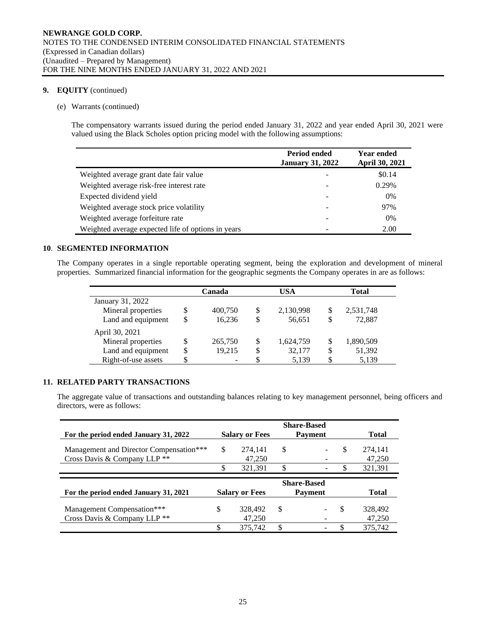# **9. EQUITY** (continued)

#### (e) Warrants (continued)

The compensatory warrants issued during the period ended January 31, 2022 and year ended April 30, 2021 were valued using the Black Scholes option pricing model with the following assumptions:

|                                                    | Period ended<br><b>January 31, 2022</b> | <b>Year ended</b><br>April 30, 2021 |
|----------------------------------------------------|-----------------------------------------|-------------------------------------|
| Weighted average grant date fair value             |                                         | \$0.14                              |
| Weighted average risk-free interest rate           |                                         | 0.29%                               |
| Expected dividend yield                            |                                         | 0%                                  |
| Weighted average stock price volatility            |                                         | 97%                                 |
| Weighted average forfeiture rate                   |                                         | 0%                                  |
| Weighted average expected life of options in years |                                         | 2.00                                |

# **10**. **SEGMENTED INFORMATION**

The Company operates in a single reportable operating segment, being the exploration and development of mineral properties. Summarized financial information for the geographic segments the Company operates in are as follows:

|                     |   | Canada  | USA |           |    | <b>Total</b> |
|---------------------|---|---------|-----|-----------|----|--------------|
| January 31, 2022    |   |         |     |           |    |              |
| Mineral properties  | S | 400,750 | S   | 2,130,998 | \$ | 2,531,748    |
| Land and equipment  | S | 16.236  | S   | 56,651    | S  | 72.887       |
| April 30, 2021      |   |         |     |           |    |              |
| Mineral properties  | S | 265,750 | \$  | 1,624,759 | S  | 1,890,509    |
| Land and equipment  | S | 19.215  | S   | 32,177    | \$ | 51,392       |
| Right-of-use assets |   |         |     | 5,139     |    | 5,139        |

# **11. RELATED PARTY TRANSACTIONS**

The aggregate value of transactions and outstanding balances relating to key management personnel, being officers and directors, were as follows:

| For the period ended January 31, 2022                                   | <b>Salary or Fees</b>   | <b>Share-Based</b><br><b>Payment</b> | Total         |                   |
|-------------------------------------------------------------------------|-------------------------|--------------------------------------|---------------|-------------------|
| Management and Director Compensation***<br>Cross Davis & Company LLP ** | \$<br>274.141<br>47,250 | \$                                   | -S            | 274,141<br>47,250 |
|                                                                         | \$<br>321,391           | \$                                   |               | 321,391           |
| For the period ended January 31, 2021                                   | <b>Salary or Fees</b>   | <b>Share-Based</b><br><b>Payment</b> |               | <b>Total</b>      |
| Management Compensation***<br>Cross Davis & Company LLP <sup>**</sup>   | \$<br>328,492<br>47,250 | \$                                   | <sup>\$</sup> | 328,492<br>47,250 |
|                                                                         | 375.742                 | \$<br>$\overline{\phantom{a}}$       |               | 375.742           |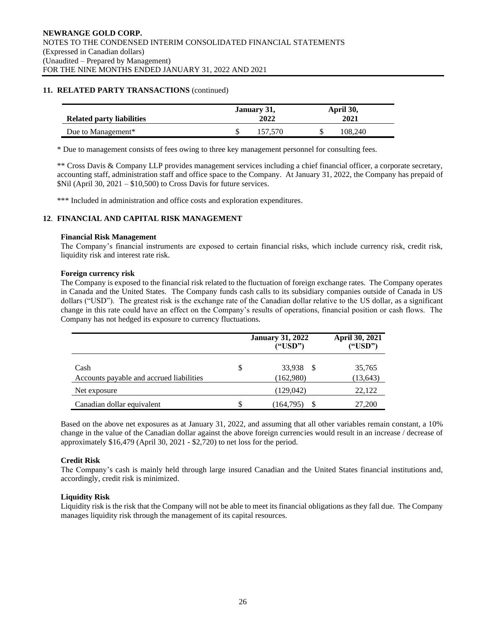# **11. RELATED PARTY TRANSACTIONS** (continued)

|                           | January 31, |         |  | April 30, |  |  |
|---------------------------|-------------|---------|--|-----------|--|--|
| Related party liabilities | 2022        |         |  | 2021      |  |  |
| Due to Management*        |             | 157 570 |  | 108.240   |  |  |

\* Due to management consists of fees owing to three key management personnel for consulting fees.

\*\* Cross Davis & Company LLP provides management services including a chief financial officer, a corporate secretary, accounting staff, administration staff and office space to the Company. At January 31, 2022, the Company has prepaid of \$Nil (April 30, 2021 – \$10,500) to Cross Davis for future services.

\*\*\* Included in administration and office costs and exploration expenditures.

# **12**. **FINANCIAL AND CAPITAL RISK MANAGEMENT**

#### **Financial Risk Management**

The Company's financial instruments are exposed to certain financial risks, which include currency risk, credit risk, liquidity risk and interest rate risk.

#### **Foreign currency risk**

The Company is exposed to the financial risk related to the fluctuation of foreign exchange rates. The Company operates in Canada and the United States. The Company funds cash calls to its subsidiary companies outside of Canada in US dollars ("USD"). The greatest risk is the exchange rate of the Canadian dollar relative to the US dollar, as a significant change in this rate could have an effect on the Company's results of operations, financial position or cash flows. The Company has not hedged its exposure to currency fluctuations.

|                                                  | <b>January 31, 2022</b><br>("USD") | April 30, 2021<br>("USD") |
|--------------------------------------------------|------------------------------------|---------------------------|
| Cash<br>Accounts payable and accrued liabilities | \$<br>33,938 \$<br>(162,980)       | 35,765<br>(13, 643)       |
| Net exposure                                     | (129,042)                          | 22,122                    |
| Canadian dollar equivalent                       | \$<br>S<br>(164, 795)              | 27,200                    |

Based on the above net exposures as at January 31, 2022, and assuming that all other variables remain constant, a 10% change in the value of the Canadian dollar against the above foreign currencies would result in an increase / decrease of approximately \$16,479 (April 30, 2021 - \$2,720) to net loss for the period.

# **Credit Risk**

The Company's cash is mainly held through large insured Canadian and the United States financial institutions and, accordingly, credit risk is minimized.

# **Liquidity Risk**

Liquidity risk is the risk that the Company will not be able to meet its financial obligations as they fall due. The Company manages liquidity risk through the management of its capital resources.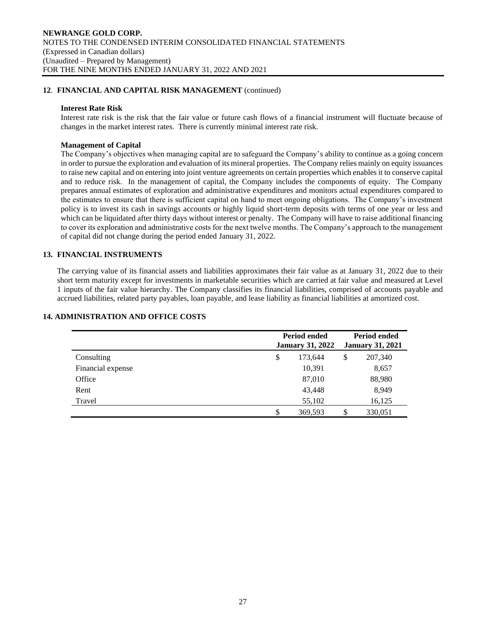# **12**. **FINANCIAL AND CAPITAL RISK MANAGEMENT** (continued)

#### **Interest Rate Risk**

Interest rate risk is the risk that the fair value or future cash flows of a financial instrument will fluctuate because of changes in the market interest rates. There is currently minimal interest rate risk.

#### **Management of Capital**

The Company's objectives when managing capital are to safeguard the Company's ability to continue as a going concern in order to pursue the exploration and evaluation of its mineral properties. The Company relies mainly on equity issuances to raise new capital and on entering into joint venture agreements on certain properties which enables it to conserve capital and to reduce risk. In the management of capital, the Company includes the components of equity. The Company prepares annual estimates of exploration and administrative expenditures and monitors actual expenditures compared to the estimates to ensure that there is sufficient capital on hand to meet ongoing obligations. The Company's investment policy is to invest its cash in savings accounts or highly liquid short-term deposits with terms of one year or less and which can be liquidated after thirty days without interest or penalty. The Company will have to raise additional financing to cover its exploration and administrative costs for the next twelve months. The Company's approach to the management of capital did not change during the period ended January 31, 2022.

# **13. FINANCIAL INSTRUMENTS**

The carrying value of its financial assets and liabilities approximates their fair value as at January 31, 2022 due to their short term maturity except for investments in marketable securities which are carried at fair value and measured at Level 1 inputs of the fair value hierarchy. The Company classifies its financial liabilities, comprised of accounts payable and accrued liabilities, related party payables, loan payable, and lease liability as financial liabilities at amortized cost.

|                   | <b>Period ended</b><br><b>January 31, 2022</b> |         | <b>Period ended</b><br><b>January 31, 2021</b> |         |  |
|-------------------|------------------------------------------------|---------|------------------------------------------------|---------|--|
| Consulting        | \$                                             | 173,644 | \$                                             | 207,340 |  |
| Financial expense |                                                | 10,391  |                                                | 8,657   |  |
| Office            |                                                | 87,010  |                                                | 88,980  |  |
| Rent              |                                                | 43,448  |                                                | 8,949   |  |
| Travel            |                                                | 55,102  |                                                | 16,125  |  |
|                   | \$                                             | 369,593 |                                                | 330,051 |  |

#### **14. ADMINISTRATION AND OFFICE COSTS**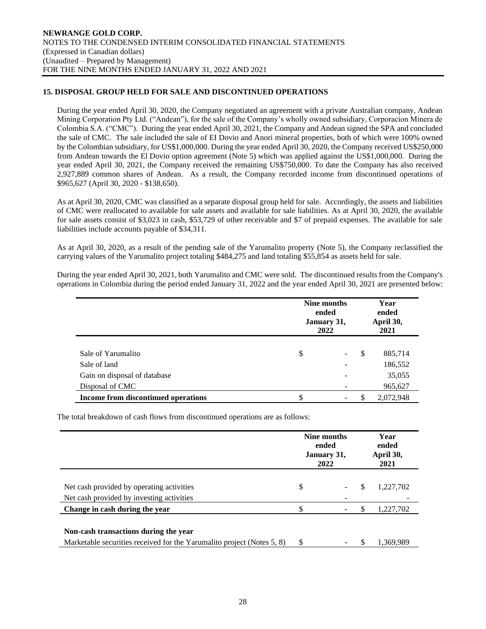# **15. DISPOSAL GROUP HELD FOR SALE AND DISCONTINUED OPERATIONS**

During the year ended April 30, 2020, the Company negotiated an agreement with a private Australian company, Andean Mining Corporation Pty Ltd. ("Andean"), for the sale of the Company's wholly owned subsidiary, Corporacion Minera de Colombia S.A. ("CMC"). During the year ended April 30, 2021, the Company and Andean signed the SPA and concluded the sale of CMC. The sale included the sale of EI Dovio and Anori mineral properties, both of which were 100% owned by the Colombian subsidiary, for US\$1,000,000. During the year ended April 30, 2020, the Company received US\$250,000 from Andean towards the El Dovio option agreement (Note 5) which was applied against the US\$1,000,000. During the year ended April 30, 2021, the Company received the remaining US\$750,000. To date the Company has also received 2,927,889 common shares of Andean. As a result, the Company recorded income from discontinued operations of \$965,627 (April 30, 2020 - \$138,650).

As at April 30, 2020, CMC was classified as a separate disposal group held for sale. Accordingly, the assets and liabilities of CMC were reallocated to available for sale assets and available for sale liabilities. As at April 30, 2020, the available for sale assets consist of \$3,023 in cash, \$53,729 of other receivable and \$7 of prepaid expenses. The available for sale liabilities include accounts payable of \$34,311.

As at April 30, 2020, as a result of the pending sale of the Yarumalito property (Note 5), the Company reclassified the carrying values of the Yarumalito project totaling \$484,275 and land totaling \$55,854 as assets held for sale.

During the year ended April 30, 2021, both Yarumalito and CMC were sold. The discontinued results from the Company's operations in Colombia during the period ended January 31, 2022 and the year ended April 30, 2021 are presented below:

|                                     | Nine months<br>ended<br>January 31,<br>2022 |   | Year<br>ended<br>April 30,<br>2021 |  |
|-------------------------------------|---------------------------------------------|---|------------------------------------|--|
|                                     |                                             |   |                                    |  |
| Sale of Yarumalito                  | \$<br>$\sim$                                | S | 885,714                            |  |
| Sale of land                        |                                             |   | 186,552                            |  |
| Gain on disposal of database        |                                             |   | 35,055                             |  |
| Disposal of CMC                     |                                             |   | 965,627                            |  |
| Income from discontinued operations | \$                                          | S | 2,072,948                          |  |

The total breakdown of cash flows from discontinued operations are as follows:

|                                                                        | Nine months<br>ended<br>January 31,<br>2022 |  | Year<br>ended<br>April 30,<br>2021 |           |
|------------------------------------------------------------------------|---------------------------------------------|--|------------------------------------|-----------|
|                                                                        |                                             |  |                                    |           |
| Net cash provided by operating activities                              | \$                                          |  | S                                  | 1,227,702 |
| Net cash provided by investing activities                              |                                             |  |                                    |           |
| Change in cash during the year                                         | \$                                          |  |                                    | 1,227,702 |
| Non-cash transactions during the year                                  |                                             |  |                                    |           |
| Marketable securities received for the Yarumalito project (Notes 5, 8) | \$                                          |  | S                                  | 1.369.989 |